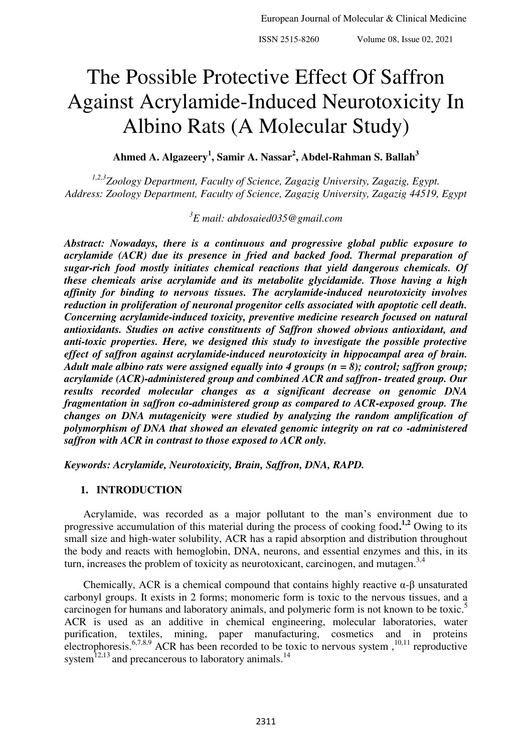# The Possible Protective Effect Of Saffron Against Acrylamide-Induced Neurotoxicity In Albino Rats (A Molecular Study)

**Ahmed A. Algazeery<sup>1</sup> , Samir A. Nassar<sup>2</sup> , Abdel-Rahman S. Ballah<sup>3</sup>**

*1,2,3Zoology Department, Faculty of Science, Zagazig University, Zagazig, Egypt. Address: Zoology Department, Faculty of Science, Zagazig University, Zagazig 44519, Egypt* 

*3 E mail: abdosaied035@gmail.com* 

*Abstract: Nowadays, there is a continuous and progressive global public exposure to acrylamide (ACR) due its presence in fried and backed food. Thermal preparation of sugar-rich food mostly initiates chemical reactions that yield dangerous chemicals. Of these chemicals arise acrylamide and its metabolite glycidamide. Those having a high affinity for binding to nervous tissues. The acrylamide-induced neurotoxicity involves reduction in proliferation of neuronal progenitor cells associated with apoptotic cell death. Concerning acrylamide-induced toxicity, preventive medicine research focused on natural antioxidants. Studies on active constituents of Saffron showed obvious antioxidant, and anti-toxic properties. Here, we designed this study to investigate the possible protective effect of saffron against acrylamide-induced neurotoxicity in hippocampal area of brain. Adult male albino rats were assigned equally into 4 groups (n = 8); control; saffron group; acrylamide (ACR)-administered group and combined ACR and saffron- treated group. Our results recorded molecular changes as a significant decrease on genomic DNA fragmentation in saffron co-administered group as compared to ACR-exposed group. The changes on DNA mutagenicity were studied by analyzing the random amplification of polymorphism of DNA that showed an elevated genomic integrity on rat co -administered saffron with ACR in contrast to those exposed to ACR only.* 

*Keywords: Acrylamide, Neurotoxicity, Brain, Saffron, DNA, RAPD.* 

## **1. INTRODUCTION**

Acrylamide, was recorded as a major pollutant to the man's environment due to progressive accumulation of this material during the process of cooking food**. 1,2** Owing to its small size and high-water solubility, ACR has a rapid absorption and distribution throughout the body and reacts with hemoglobin, DNA, neurons, and essential enzymes and this, in its turn, increases the problem of toxicity as neurotoxicant, carcinogen, and mutagen.<sup>3,4</sup>

Chemically, ACR is a chemical compound that contains highly reactive  $\alpha$ - $\beta$  unsaturated carbonyl groups. It exists in 2 forms; monomeric form is toxic to the nervous tissues, and a carcinogen for humans and laboratory animals, and polymeric form is not known to be toxic.<sup>5</sup> ACR is used as an additive in chemical engineering, molecular laboratories, water purification, textiles, mining, paper manufacturing, cosmetics and in proteins electrophoresis.<sup>6,7,8,9</sup> ACR has been recorded to be toxic to nervous system,  $10,11$  reproductive system $^{12,13}$  and precancerous to laboratory animals.<sup>14</sup>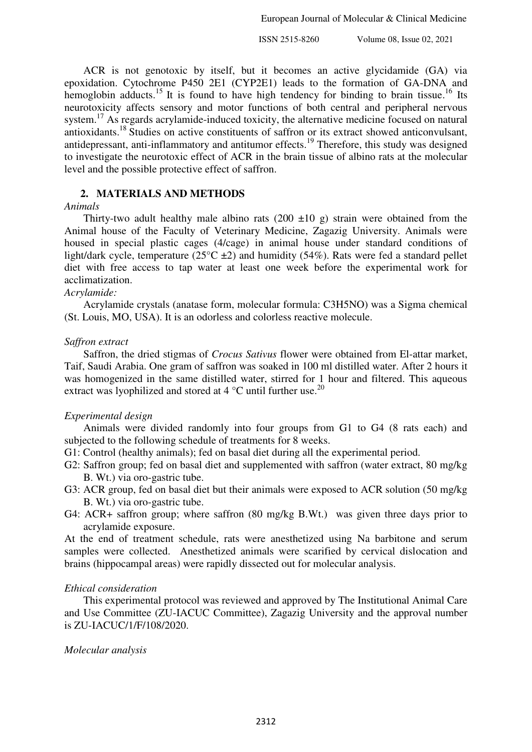ACR is not genotoxic by itself, but it becomes an active glycidamide (GA) via epoxidation. Cytochrome P450 2E1 (CYP2E1) leads to the formation of GA-DNA and hemoglobin adducts.<sup>15</sup> It is found to have high tendency for binding to brain tissue.<sup>16</sup> Its neurotoxicity affects sensory and motor functions of both central and peripheral nervous system.<sup>17</sup> As regards acrylamide-induced toxicity, the alternative medicine focused on natural antioxidants.<sup>18</sup> Studies on active constituents of saffron or its extract showed anticonvulsant, antidepressant, anti-inflammatory and antitumor effects.<sup>19</sup> Therefore, this study was designed to investigate the neurotoxic effect of ACR in the brain tissue of albino rats at the molecular level and the possible protective effect of saffron.

## **2. MATERIALS AND METHODS**

## *Animals*

Thirty-two adult healthy male albino rats (200  $\pm$ 10 g) strain were obtained from the Animal house of the Faculty of Veterinary Medicine, Zagazig University. Animals were housed in special plastic cages (4/cage) in animal house under standard conditions of light/dark cycle, temperature ( $25^{\circ}$ C  $\pm$ 2) and humidity (54%). Rats were fed a standard pellet diet with free access to tap water at least one week before the experimental work for acclimatization.

## *Acrylamide:*

Acrylamide crystals (anatase form, molecular formula: C3H5NO) was a Sigma chemical (St. Louis, MO, USA). It is an odorless and colorless reactive molecule.

#### *Saffron extract*

Saffron, the dried stigmas of *Crocus Sativus* flower were obtained from El-attar market, Taif, Saudi Arabia. One gram of saffron was soaked in 100 ml distilled water. After 2 hours it was homogenized in the same distilled water, stirred for 1 hour and filtered. This aqueous extract was lyophilized and stored at  $4^{\circ}$ C until further use.<sup>20</sup>

#### *Experimental design*

Animals were divided randomly into four groups from G1 to G4 (8 rats each) and subjected to the following schedule of treatments for 8 weeks.

- G1: Control (healthy animals); fed on basal diet during all the experimental period.
- G2: Saffron group; fed on basal diet and supplemented with saffron (water extract, 80 mg/kg B. Wt.) via oro-gastric tube.
- G3: ACR group, fed on basal diet but their animals were exposed to ACR solution (50 mg/kg B. Wt.) via oro-gastric tube.
- G4: ACR+ saffron group; where saffron (80 mg/kg B.Wt.) was given three days prior to acrylamide exposure.

At the end of treatment schedule, rats were anesthetized using Na barbitone and serum samples were collected. Anesthetized animals were scarified by cervical dislocation and brains (hippocampal areas) were rapidly dissected out for molecular analysis.

## *Ethical consideration*

This experimental protocol was reviewed and approved by The Institutional Animal Care and Use Committee (ZU-IACUC Committee), Zagazig University and the approval number is ZU-IACUC/1/F/108/2020.

## *Molecular analysis*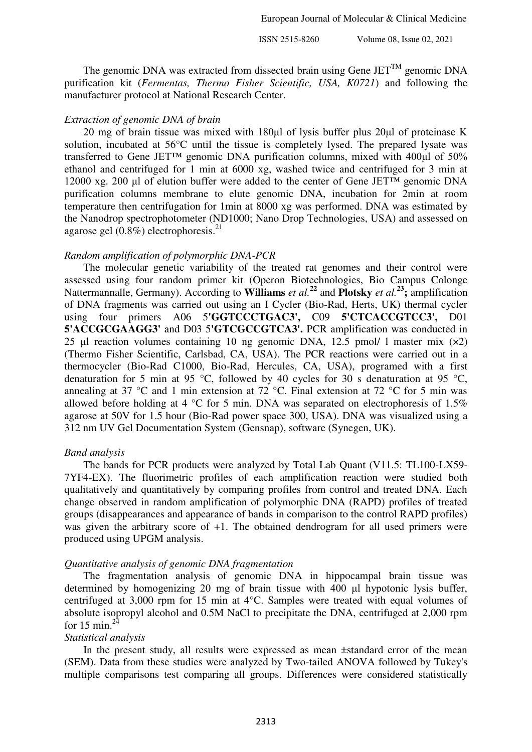The genomic DNA was extracted from dissected brain using Gene  $JET^{TM}$  genomic DNA purification kit (*Fermentas, Thermo Fisher Scientific, USA, K0721*) and following the manufacturer protocol at National Research Center.

#### *Extraction of genomic DNA of brain*

20 mg of brain tissue was mixed with 180μl of lysis buffer plus 20μl of proteinase K solution, incubated at 56°C until the tissue is completely lysed. The prepared lysate was transferred to Gene JET™ genomic DNA purification columns, mixed with 400μl of 50% ethanol and centrifuged for 1 min at 6000 xg, washed twice and centrifuged for 3 min at 12000 xg. 200 μl of elution buffer were added to the center of Gene JET™ genomic DNA purification columns membrane to elute genomic DNA, incubation for 2min at room temperature then centrifugation for 1min at 8000 xg was performed. DNA was estimated by the Nanodrop spectrophotometer (ND1000; Nano Drop Technologies, USA) and assessed on agarose gel  $(0.8\%)$  electrophoresis.<sup>21</sup>

#### *Random amplification of polymorphic DNA-PCR*

The molecular genetic variability of the treated rat genomes and their control were assessed using four random primer kit (Operon Biotechnologies, Bio Campus Colonge Nattermannalle, Germany). According to **Williams** *et al.***<sup>22</sup>** and **Plotsky** *et al.***<sup>23</sup>;** amplification of DNA fragments was carried out using an I Cycler (Bio-Rad, Herts, UK) thermal cycler using four primers A06 5**'GGTCCCTGAC3',** C09 **5'CTCACCGTCC3',** D01 **5'ACCGCGAAGG3'** and D03 5**'GTCGCCGTCA3'.** PCR amplification was conducted in 25 μl reaction volumes containing 10 ng genomic DNA, 12.5 pmol/ l master mix (×2) (Thermo Fisher Scientific, Carlsbad, CA, USA). The PCR reactions were carried out in a thermocycler (Bio-Rad C1000, Bio-Rad, Hercules, CA, USA), programed with a first denaturation for 5 min at 95 °C, followed by 40 cycles for 30 s denaturation at 95 °C, annealing at 37 °C and 1 min extension at 72 °C. Final extension at 72 °C for 5 min was allowed before holding at 4  $\degree$ C for 5 min. DNA was separated on electrophoresis of 1.5% agarose at 50V for 1.5 hour (Bio-Rad power space 300, USA). DNA was visualized using a 312 nm UV Gel Documentation System (Gensnap), software (Synegen, UK).

#### *Band analysis*

The bands for PCR products were analyzed by Total Lab Quant (V11.5: TL100-LX59- 7YF4-EX). The fluorimetric profiles of each amplification reaction were studied both qualitatively and quantitatively by comparing profiles from control and treated DNA. Each change observed in random amplification of polymorphic DNA (RAPD) profiles of treated groups (disappearances and appearance of bands in comparison to the control RAPD profiles) was given the arbitrary score of  $+1$ . The obtained dendrogram for all used primers were produced using UPGM analysis.

#### *Quantitative analysis of genomic DNA fragmentation*

The fragmentation analysis of genomic DNA in hippocampal brain tissue was determined by homogenizing 20 mg of brain tissue with 400 μl hypotonic lysis buffer, centrifuged at 3,000 rpm for 15 min at 4°C. Samples were treated with equal volumes of absolute isopropyl alcohol and 0.5M NaCl to precipitate the DNA, centrifuged at 2,000 rpm for 15 min. $2^{\overline{4}}$ 

#### *Statistical analysis*

In the present study, all results were expressed as mean ±standard error of the mean (SEM). Data from these studies were analyzed by Two-tailed ANOVA followed by Tukey's multiple comparisons test comparing all groups. Differences were considered statistically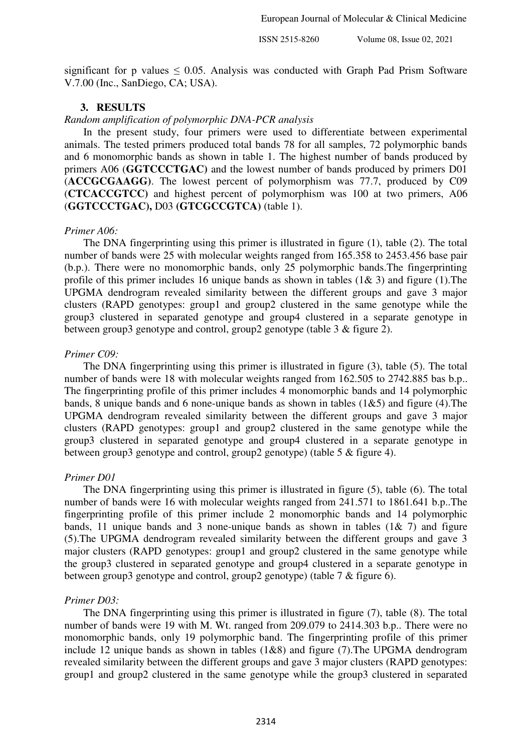significant for p values  $\leq 0.05$ . Analysis was conducted with Graph Pad Prism Software V.7.00 (Inc., SanDiego, CA; USA).

## **3. RESULTS**

*Random amplification of polymorphic DNA-PCR analysis* 

In the present study, four primers were used to differentiate between experimental animals. The tested primers produced total bands 78 for all samples, 72 polymorphic bands and 6 monomorphic bands as shown in table 1. The highest number of bands produced by primers A06 (**GGTCCCTGAC)** and the lowest number of bands produced by primers D01 (**ACCGCGAAGG)**. The lowest percent of polymorphism was 77.7, produced by C09 (**CTCACCGTCC)** and highest percent of polymorphism was 100 at two primers, A06 (**GGTCCCTGAC),** D03 **(GTCGCCGTCA)** (table 1).

## *Primer A06:*

The DNA fingerprinting using this primer is illustrated in figure (1), table (2). The total number of bands were 25 with molecular weights ranged from 165.358 to 2453.456 base pair (b.p.). There were no monomorphic bands, only 25 polymorphic bands.The fingerprinting profile of this primer includes 16 unique bands as shown in tables  $(1\& 3)$  and figure  $(1)$ . The UPGMA dendrogram revealed similarity between the different groups and gave 3 major clusters (RAPD genotypes: group1 and group2 clustered in the same genotype while the group3 clustered in separated genotype and group4 clustered in a separate genotype in between group3 genotype and control, group2 genotype (table 3 & figure 2).

#### *Primer C09:*

The DNA fingerprinting using this primer is illustrated in figure (3), table (5). The total number of bands were 18 with molecular weights ranged from 162.505 to 2742.885 bas b.p.. The fingerprinting profile of this primer includes 4 monomorphic bands and 14 polymorphic bands, 8 unique bands and 6 none-unique bands as shown in tables (1&5) and figure (4).The UPGMA dendrogram revealed similarity between the different groups and gave 3 major clusters (RAPD genotypes: group1 and group2 clustered in the same genotype while the group3 clustered in separated genotype and group4 clustered in a separate genotype in between group3 genotype and control, group2 genotype) (table 5 & figure 4).

#### *Primer D01*

The DNA fingerprinting using this primer is illustrated in figure (5), table (6). The total number of bands were 16 with molecular weights ranged from 241.571 to 1861.641 b.p..The fingerprinting profile of this primer include 2 monomorphic bands and 14 polymorphic bands, 11 unique bands and 3 none-unique bands as shown in tables  $(1\& 7)$  and figure (5).The UPGMA dendrogram revealed similarity between the different groups and gave 3 major clusters (RAPD genotypes: group1 and group2 clustered in the same genotype while the group3 clustered in separated genotype and group4 clustered in a separate genotype in between group3 genotype and control, group2 genotype) (table 7 & figure 6).

## *Primer D03:*

The DNA fingerprinting using this primer is illustrated in figure (7), table (8). The total number of bands were 19 with M. Wt. ranged from 209.079 to 2414.303 b.p.. There were no monomorphic bands, only 19 polymorphic band. The fingerprinting profile of this primer include 12 unique bands as shown in tables  $(1\&8)$  and figure  $(7)$ . The UPGMA dendrogram revealed similarity between the different groups and gave 3 major clusters (RAPD genotypes: group1 and group2 clustered in the same genotype while the group3 clustered in separated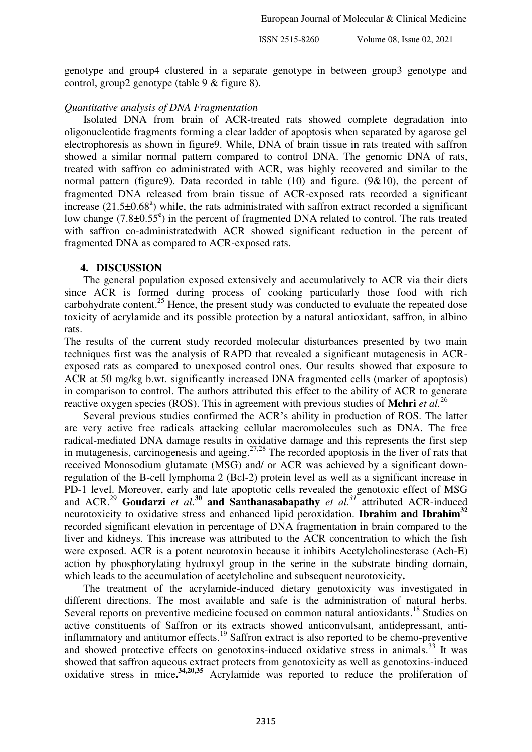genotype and group4 clustered in a separate genotype in between group3 genotype and control, group2 genotype (table 9 & figure 8).

## *Quantitative analysis of DNA Fragmentation*

Isolated DNA from brain of ACR-treated rats showed complete degradation into oligonucleotide fragments forming a clear ladder of apoptosis when separated by agarose gel electrophoresis as shown in figure9. While, DNA of brain tissue in rats treated with saffron showed a similar normal pattern compared to control DNA. The genomic DNA of rats, treated with saffron co administrated with ACR, was highly recovered and similar to the normal pattern (figure9). Data recorded in table (10) and figure. (9&10), the percent of fragmented DNA released from brain tissue of ACR-exposed rats recorded a significant increase  $(21.5\pm0.68^{\circ})$  while, the rats administrated with saffron extract recorded a significant low change (7.8±0.55<sup>c</sup>) in the percent of fragmented DNA related to control. The rats treated with saffron co-administratedwith ACR showed significant reduction in the percent of fragmented DNA as compared to ACR-exposed rats.

#### **4. DISCUSSION**

The general population exposed extensively and accumulatively to ACR via their diets since ACR is formed during process of cooking particularly those food with rich carbohydrate content.<sup>25</sup> Hence, the present study was conducted to evaluate the repeated dose toxicity of acrylamide and its possible protection by a natural antioxidant, saffron, in albino rats.

The results of the current study recorded molecular disturbances presented by two main techniques first was the analysis of RAPD that revealed a significant mutagenesis in ACRexposed rats as compared to unexposed control ones. Our results showed that exposure to ACR at 50 mg/kg b.wt. significantly increased DNA fragmented cells (marker of apoptosis) in comparison to control. The authors attributed this effect to the ability of ACR to generate reactive oxygen species (ROS). This in agreement with previous studies of **Mehri** *et al.*<sup>26</sup>

Several previous studies confirmed the ACR's ability in production of ROS. The latter are very active free radicals attacking cellular macromolecules such as DNA. The free radical-mediated DNA damage results in oxidative damage and this represents the first step in mutagenesis, carcinogenesis and ageing.<sup>27,28</sup> The recorded apoptosis in the liver of rats that received Monosodium glutamate (MSG) and/ or ACR was achieved by a significant downregulation of the B-cell lymphoma 2 (Bcl-2) protein level as well as a significant increase in PD-1 level. Moreover, early and late apoptotic cells revealed the genotoxic effect of MSG and ACR.<sup>29</sup> **Goudarzi** *et al*. **<sup>30</sup> and Santhanasabapathy** *et al.<sup>31</sup>* attributed ACR-induced neurotoxicity to oxidative stress and enhanced lipid peroxidation. **Ibrahim and Ibrahim<sup>32</sup>** recorded significant elevation in percentage of DNA fragmentation in brain compared to the liver and kidneys. This increase was attributed to the ACR concentration to which the fish were exposed. ACR is a potent neurotoxin because it inhibits Acetylcholinesterase (Ach-E) action by phosphorylating hydroxyl group in the serine in the substrate binding domain, which leads to the accumulation of acetylcholine and subsequent neurotoxicity**.**

The treatment of the acrylamide-induced dietary genotoxicity was investigated in different directions. The most available and safe is the administration of natural herbs. Several reports on preventive medicine focused on common natural antioxidants.<sup>18</sup> Studies on active constituents of Saffron or its extracts showed anticonvulsant, antidepressant, antiinflammatory and antitumor effects.<sup>19</sup> Saffron extract is also reported to be chemo-preventive and showed protective effects on genotoxins-induced oxidative stress in animals.<sup>33</sup> It was showed that saffron aqueous extract protects from genotoxicity as well as genotoxins-induced oxidative stress in mice**. 34,20,35** Acrylamide was reported to reduce the proliferation of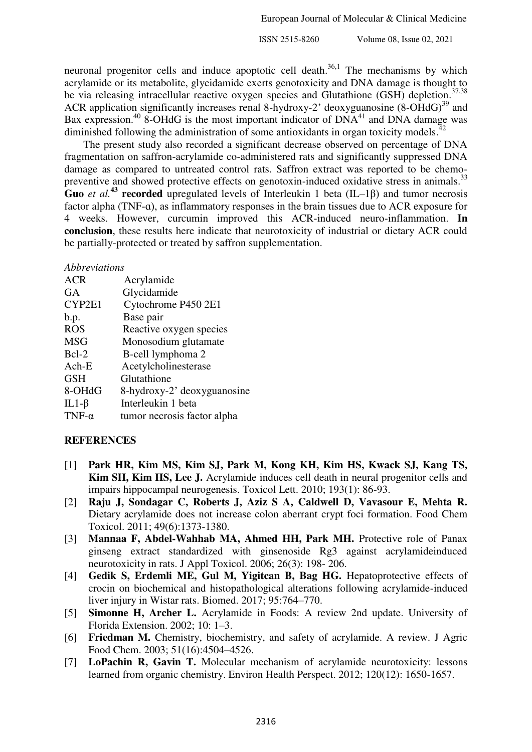neuronal progenitor cells and induce apoptotic cell death.<sup>36,1</sup> The mechanisms by which acrylamide or its metabolite, glycidamide exerts genotoxicity and DNA damage is thought to be via releasing intracellular reactive oxygen species and Glutathione  $(GSH)$  depletion.<sup>37,38</sup> ACR application significantly increases renal 8-hydroxy-2' deoxyguanosine  $(8\text{-}OHdG)^{39}$  and Bax expression.<sup>40</sup> 8-OHdG is the most important indicator of  $DNA<sup>41</sup>$  and DNA damage was diminished following the administration of some antioxidants in organ toxicity models.<sup>42</sup>

The present study also recorded a significant decrease observed on percentage of DNA fragmentation on saffron-acrylamide co-administered rats and significantly suppressed DNA damage as compared to untreated control rats. Saffron extract was reported to be chemopreventive and showed protective effects on genotoxin-induced oxidative stress in animals.<sup>33</sup> **Guo** *et al.*<sup>43</sup> **recorded** upregulated levels of Interleukin 1 beta (IL–1 $\beta$ ) and tumor necrosis factor alpha (TNF-ɑ), as inflammatory responses in the brain tissues due to ACR exposure for 4 weeks. However, curcumin improved this ACR-induced neuro-inflammation. **In conclusion**, these results here indicate that neurotoxicity of industrial or dietary ACR could be partially-protected or treated by saffron supplementation.

## *Abbreviations*

| <b>ACR</b>    | Acrylamide                  |
|---------------|-----------------------------|
| <b>GA</b>     | Glycidamide                 |
| CYP2E1        | Cytochrome P450 2E1         |
| b.p.          | Base pair                   |
| <b>ROS</b>    | Reactive oxygen species     |
| <b>MSG</b>    | Monosodium glutamate        |
| Bcl-2         | B-cell lymphoma 2           |
| $Ach-E$       | Acetylcholinesterase        |
| <b>GSH</b>    | Glutathione                 |
| 8-OHdG        | 8-hydroxy-2' deoxyguanosine |
| IL1- $\beta$  | Interleukin 1 beta          |
| TNF- $\alpha$ | tumor necrosis factor alpha |

## **REFERENCES**

- [1] **Park HR, Kim MS, Kim SJ, Park M, Kong KH, Kim HS, Kwack SJ, Kang TS, Kim SH, Kim HS, Lee J.** Acrylamide induces cell death in neural progenitor cells and impairs hippocampal neurogenesis. Toxicol Lett. 2010; 193(1): 86-93.
- [2] **Raju J, Sondagar C, Roberts J, Aziz S A, Caldwell D, Vavasour E, Mehta R.** Dietary acrylamide does not increase colon aberrant crypt foci formation. Food Chem Toxicol. 2011; 49(6):1373-1380.
- [3] **Mannaa F, Abdel-Wahhab MA, Ahmed HH, Park MH.** Protective role of Panax ginseng extract standardized with ginsenoside Rg3 against acrylamideinduced neurotoxicity in rats. J Appl Toxicol. 2006; 26(3): 198- 206.
- [4] **Gedik S, Erdemli ME, Gul M, Yigitcan B, Bag HG.** Hepatoprotective effects of crocin on biochemical and histopathological alterations following acrylamide-induced liver injury in Wistar rats. Biomed. 2017; 95:764–770.
- [5] **Simonne H, Archer L.** Acrylamide in Foods: A review 2nd update. University of Florida Extension. 2002; 10: 1–3.
- [6] **Friedman M.** Chemistry, biochemistry, and safety of acrylamide. A review. J Agric Food Chem. 2003; 51(16):4504–4526.
- [7] **LoPachin R, Gavin T.** Molecular mechanism of acrylamide neurotoxicity: lessons learned from organic chemistry. Environ Health Perspect. 2012; 120(12): 1650-1657.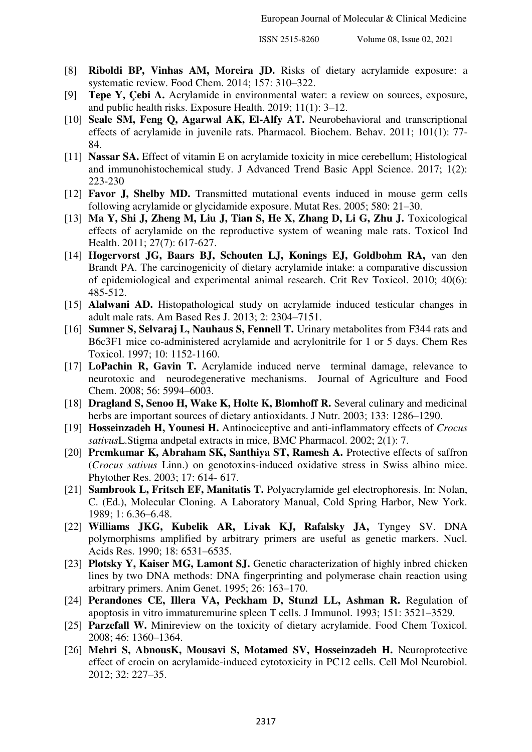- [8] **Riboldi BP, Vinhas AM, Moreira JD.** Risks of dietary acrylamide exposure: a systematic review. Food Chem. 2014; 157: 310–322.
- [9] **Tepe Y, Çebi A.** Acrylamide in environmental water: a review on sources, exposure, and public health risks. Exposure Health. 2019; 11(1): 3–12.
- [10] **Seale SM, Feng Q, Agarwal AK, El-Alfy AT.** Neurobehavioral and transcriptional effects of acrylamide in juvenile rats. Pharmacol. Biochem. Behav. 2011; 101(1): 77- 84.
- [11] **Nassar SA.** Effect of vitamin E on acrylamide toxicity in mice cerebellum; Histological and immunohistochemical study. J Advanced Trend Basic Appl Science. 2017; 1(2): 223-230
- [12] **Favor J, Shelby MD.** Transmitted mutational events induced in mouse germ cells following acrylamide or glycidamide exposure. Mutat Res. 2005; 580: 21–30.
- [13] Ma Y, Shi J, Zheng M, Liu J, Tian S, He X, Zhang D, Li G, Zhu J. Toxicological effects of acrylamide on the reproductive system of weaning male rats. Toxicol Ind Health. 2011; 27(7): 617-627.
- [14] **Hogervorst JG, Baars BJ, Schouten LJ, Konings EJ, Goldbohm RA,** van den Brandt PA. The carcinogenicity of dietary acrylamide intake: a comparative discussion of epidemiological and experimental animal research. Crit Rev Toxicol. 2010; 40(6): 485-512.
- [15] **Alalwani AD.** Histopathological study on acrylamide induced testicular changes in adult male rats. Am Based Res J. 2013; 2: 2304–7151.
- [16] **Sumner S, Selvaraj L, Nauhaus S, Fennell T.** Urinary metabolites from F344 rats and B6c3F1 mice co-administered acrylamide and acrylonitrile for 1 or 5 days. Chem Res Toxicol. 1997; 10: 1152-1160.
- [17] **LoPachin R, Gavin T.** Acrylamide induced nerve terminal damage, relevance to neurotoxic and neurodegenerative mechanisms. Journal of Agriculture and Food Chem. 2008; 56: 5994–6003.
- [18] **Dragland S, Senoo H, Wake K, Holte K, Blomhoff R.** Several culinary and medicinal herbs are important sources of dietary antioxidants. J Nutr. 2003; 133: 1286–1290.
- [19] **Hosseinzadeh H, Younesi H.** Antinociceptive and anti-inflammatory effects of *Crocus sativus*L.Stigma andpetal extracts in mice, BMC Pharmacol. 2002; 2(1): 7.
- [20] **Premkumar K, Abraham SK, Santhiya ST, Ramesh A.** Protective effects of saffron (*Crocus sativus* Linn.) on genotoxins-induced oxidative stress in Swiss albino mice. Phytother Res. 2003; 17: 614- 617.
- [21] **Sambrook L, Fritsch EF, Manitatis T.** Polyacrylamide gel electrophoresis. In: Nolan, C. (Ed.), Molecular Cloning. A Laboratory Manual, Cold Spring Harbor, New York. 1989; 1: 6.36–6.48.
- [22] **Williams JKG, Kubelik AR, Livak KJ, Rafalsky JA,** Tyngey SV. DNA polymorphisms amplified by arbitrary primers are useful as genetic markers. Nucl. Acids Res. 1990; 18: 6531–6535.
- [23] **Plotsky Y, Kaiser MG, Lamont SJ.** Genetic characterization of highly inbred chicken lines by two DNA methods: DNA fingerprinting and polymerase chain reaction using arbitrary primers. Anim Genet. 1995; 26: 163–170.
- [24] **Perandones CE, Illera VA, Peckham D, Stunzl LL, Ashman R.** Regulation of apoptosis in vitro immaturemurine spleen T cells. J Immunol. 1993; 151: 3521–3529*.*
- [25] **Parzefall W.** Minireview on the toxicity of dietary acrylamide. Food Chem Toxicol. 2008; 46: 1360–1364.
- [26] **Mehri S, AbnousK, Mousavi S, Motamed SV, Hosseinzadeh H.** Neuroprotective effect of crocin on acrylamide-induced cytotoxicity in PC12 cells. Cell Mol Neurobiol. 2012; 32: 227–35.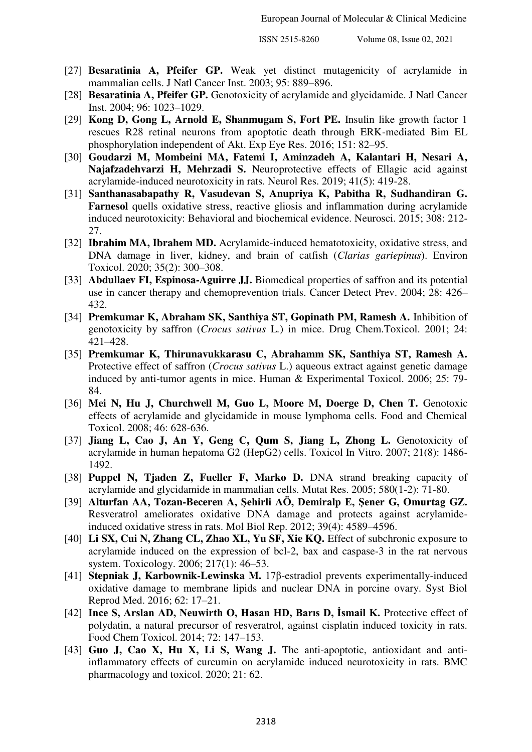- [27] **Besaratinia A, Pfeifer GP.** Weak yet distinct mutagenicity of acrylamide in mammalian cells. J Natl Cancer Inst. 2003; 95: 889–896.
- [28] **Besaratinia A, Pfeifer GP.** Genotoxicity of acrylamide and glycidamide. J Natl Cancer Inst. 2004; 96: 1023–1029.
- [29] **Kong D, Gong L, Arnold E, Shanmugam S, Fort PE.** Insulin like growth factor 1 rescues R28 retinal neurons from apoptotic death through ERK-mediated Bim EL phosphorylation independent of Akt. Exp Eye Res. 2016; 151: 82–95.
- [30] **Goudarzi M, Mombeini MA, Fatemi I, Aminzadeh A, Kalantari H, Nesari A, Najafzadehvarzi H, Mehrzadi S.** Neuroprotective effects of Ellagic acid against acrylamide-induced neurotoxicity in rats. Neurol Res. 2019; 41(5): 419-28.
- [31] **Santhanasabapathy R, Vasudevan S, Anupriya K, Pabitha R, Sudhandiran G. Farnesol** quells oxidative stress, reactive gliosis and inflammation during acrylamide induced neurotoxicity: Behavioral and biochemical evidence. Neurosci. 2015; 308: 212- 27.
- [32] **Ibrahim MA, Ibrahem MD.** Acrylamide-induced hematotoxicity, oxidative stress, and DNA damage in liver, kidney, and brain of catfish (*Clarias gariepinus*). Environ Toxicol. 2020; 35(2): 300–308.
- [33] **Abdullaev FI, Espinosa-Aguirre JJ.** Biomedical properties of saffron and its potential use in cancer therapy and chemoprevention trials. Cancer Detect Prev. 2004; 28: 426– 432.
- [34] **Premkumar K, Abraham SK, Santhiya ST, Gopinath PM, Ramesh A.** Inhibition of genotoxicity by saffron (*Crocus sativus* L*.*) in mice. Drug Chem.Toxicol. 2001; 24: 421–428.
- [35] **Premkumar K, Thirunavukkarasu C, Abrahamm SK, Santhiya ST, Ramesh A.** Protective effect of saffron (*Crocus sativus* L.) aqueous extract against genetic damage induced by anti-tumor agents in mice. Human & Experimental Toxicol. 2006; 25: 79- 84.
- [36] **Mei N, Hu J, Churchwell M, Guo L, Moore M, Doerge D, Chen T.** Genotoxic effects of acrylamide and glycidamide in mouse lymphoma cells. Food and Chemical Toxicol. 2008; 46: 628-636.
- [37] **Jiang L, Cao J, An Y, Geng C, Qum S, Jiang L, Zhong L.** Genotoxicity of acrylamide in human hepatoma G2 (HepG2) cells. Toxicol In Vitro. 2007; 21(8): 1486- 1492.
- [38] **Puppel N, Tjaden Z, Fueller F, Marko D.** DNA strand breaking capacity of acrylamide and glycidamide in mammalian cells. Mutat Res. 2005; 580(1-2): 71-80.
- [39] **Alturfan AA, Tozan-Beceren A, Şehirli AÖ, Demiralp E, Şener G, Omurtag GZ.** Resveratrol ameliorates oxidative DNA damage and protects against acrylamideinduced oxidative stress in rats. Mol Biol Rep. 2012; 39(4): 4589–4596.
- [40] **Li SX, Cui N, Zhang CL, Zhao XL, Yu SF, Xie KQ.** Effect of subchronic exposure to acrylamide induced on the expression of bcl-2, bax and caspase-3 in the rat nervous system. Toxicology. 2006; 217(1): 46–53.
- [41] **Stepniak J, Karbownik-Lewinska M.** 17β-estradiol prevents experimentally-induced oxidative damage to membrane lipids and nuclear DNA in porcine ovary. Syst Biol Reprod Med. 2016; 62: 17–21.
- [42] **Ince S, Arslan AD, Neuwirth O, Hasan HD, Barıs D, İsmail K.** Protective effect of polydatin, a natural precursor of resveratrol, against cisplatin induced toxicity in rats. Food Chem Toxicol. 2014; 72: 147–153.
- [43] **Guo J, Cao X, Hu X, Li S, Wang J.** The anti-apoptotic, antioxidant and antiinflammatory effects of curcumin on acrylamide induced neurotoxicity in rats. BMC pharmacology and toxicol. 2020; 21: 62.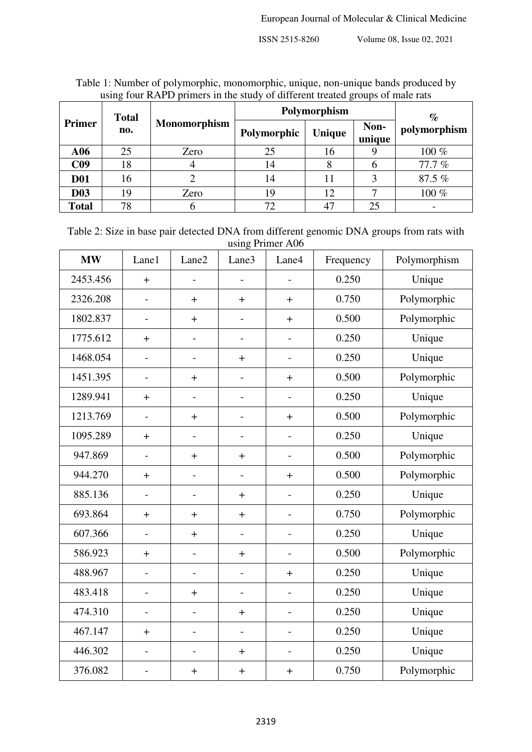|                 | using four KATD princips in the study of unferent treated groups of male rats |              |              |        |                |              |  |  |  |
|-----------------|-------------------------------------------------------------------------------|--------------|--------------|--------|----------------|--------------|--|--|--|
| <b>Primer</b>   | <b>Total</b>                                                                  |              | Polymorphism | $\%$   |                |              |  |  |  |
|                 | no.                                                                           | Monomorphism | Polymorphic  | Unique | Non-<br>unique | polymorphism |  |  |  |
| A06             | 25                                                                            | Zero         | 25           | 16     |                | 100 %        |  |  |  |
| C <sub>09</sub> | 18                                                                            |              | 14           |        |                | 77.7%        |  |  |  |
| <b>D01</b>      | 16                                                                            |              | 14           | 11     |                | 87.5 %       |  |  |  |
| <b>D03</b>      | 19                                                                            | Zero         | 19           | 12     |                | 100 %        |  |  |  |
| <b>Total</b>    | 78                                                                            | n            | 72           | 47     | 25             |              |  |  |  |

Table 1: Number of polymorphic, monomorphic, unique, non-unique bands produced by using four RAPD primers in the study of different treated groups of male rats

| Table 2: Size in base pair detected DNA from different genomic DNA groups from rats with |
|------------------------------------------------------------------------------------------|
| using Primer A06                                                                         |

| <b>MW</b> | Lane1                    | Lane2                    | Lane3                        | Lane4                    | Frequency | Polymorphism |
|-----------|--------------------------|--------------------------|------------------------------|--------------------------|-----------|--------------|
| 2453.456  | $\pm$                    |                          |                              |                          | 0.250     | Unique       |
| 2326.208  |                          | $\ddot{}$                | $+$                          | $+$                      | 0.750     | Polymorphic  |
| 1802.837  | $\overline{\phantom{0}}$ | $\pm$                    | $\qquad \qquad -$            | $+$                      | 0.500     | Polymorphic  |
| 1775.612  | $+$                      | $\overline{\phantom{0}}$ | $\overline{\phantom{0}}$     | $\overline{\phantom{a}}$ | 0.250     | Unique       |
| 1468.054  |                          | $\qquad \qquad -$        | $+$                          |                          | 0.250     | Unique       |
| 1451.395  | $\qquad \qquad -$        | $\pm$                    | $\qquad \qquad -$            | $\ddot{}$                | 0.500     | Polymorphic  |
| 1289.941  | $\ddag$                  | $\overline{a}$           | $\overline{a}$               |                          | 0.250     | Unique       |
| 1213.769  | $\overline{a}$           | $\pm$                    | $\overline{\phantom{0}}$     | $\pm$                    | 0.500     | Polymorphic  |
| 1095.289  | $+$                      | $\overline{\phantom{0}}$ | $\qquad \qquad -$            | $\overline{\phantom{a}}$ | 0.250     | Unique       |
| 947.869   | $\overline{a}$           | $\! + \!$                | $+$                          |                          | 0.500     | Polymorphic  |
| 944.270   | $\ddot{}$                | $\overline{\phantom{0}}$ |                              | $\ddot{}$                | 0.500     | Polymorphic  |
| 885.136   |                          | $\overline{a}$           | $+$                          |                          | 0.250     | Unique       |
| 693.864   | $+$                      | $\ddot{}$                | $+$                          | $\overline{\phantom{a}}$ | 0.750     | Polymorphic  |
| 607.366   | $\overline{\phantom{a}}$ | $\pm$                    | $\qquad \qquad -$            | $\overline{a}$           | 0.250     | Unique       |
| 586.923   | $\ddot{}$                | $\overline{a}$           | $\ddot{}$                    |                          | 0.500     | Polymorphic  |
| 488.967   | $\overline{a}$           | $\overline{\phantom{0}}$ | $\qquad \qquad \blacksquare$ | $+$                      | 0.250     | Unique       |
| 483.418   | $\overline{a}$           | $\pm$                    | $\qquad \qquad -$            | $\overline{\phantom{0}}$ | 0.250     | Unique       |
| 474.310   | $\overline{\phantom{0}}$ | $\qquad \qquad -$        | $+$                          | $\overline{\phantom{a}}$ | 0.250     | Unique       |
| 467.147   | $\pm$                    | $\overline{\phantom{0}}$ | $\overline{\phantom{a}}$     | $\overline{\phantom{a}}$ | 0.250     | Unique       |
| 446.302   |                          | $\overline{\phantom{0}}$ | $+$                          | $\overline{a}$           | 0.250     | Unique       |
| 376.082   |                          | $\ddag$                  | $\pm$                        | $\boldsymbol{+}$         | 0.750     | Polymorphic  |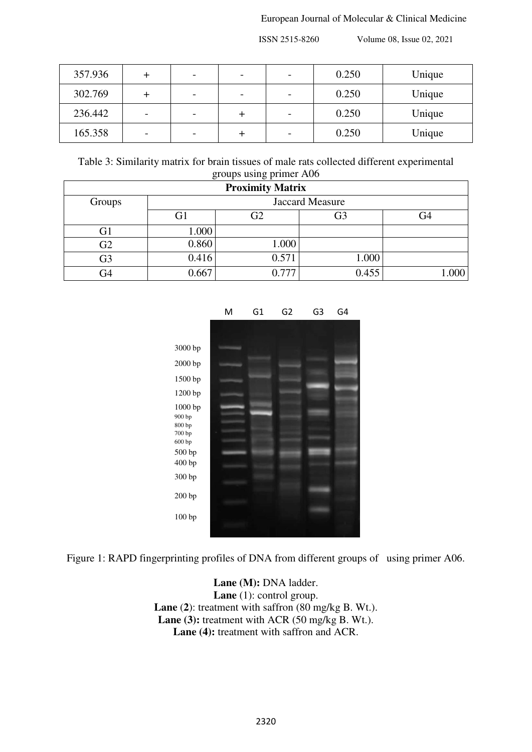| 357.936 |   | $\overline{\phantom{a}}$ |  | 0.250 | Unique |
|---------|---|--------------------------|--|-------|--------|
| 302.769 |   | $\overline{\phantom{a}}$ |  | 0.250 | Unique |
| 236.442 | - | $\overline{\phantom{a}}$ |  | 0.250 | Unique |
| 165.358 | - | $\overline{\phantom{a}}$ |  | 0.250 | Unique |

Table 3: Similarity matrix for brain tissues of male rats collected different experimental groups using primer A06

|                |       | <b>Proximity Matrix</b> |       |      |  |  |  |  |
|----------------|-------|-------------------------|-------|------|--|--|--|--|
| Groups         |       | Jaccard Measure         |       |      |  |  |  |  |
|                | G1    | G <sub>2</sub>          | G3    | G4   |  |  |  |  |
| G <sub>1</sub> | 1.000 |                         |       |      |  |  |  |  |
| G2             | 0.860 | 1.000                   |       |      |  |  |  |  |
| G <sub>3</sub> | 0.416 | 0.571                   | 000.1 |      |  |  |  |  |
| G4             | 0.667 | 0.777                   | 0.455 | .000 |  |  |  |  |



Figure 1: RAPD fingerprinting profiles of DNA from different groups of using primer A06.

Lane (M): DNA ladder. Lane (1): control group. **Lane** (**2**): treatment with saffron (80 mg/kg B. Wt.). Lane (3): treatment with ACR (50 mg/kg B. Wt.). Lane (4): treatment with saffron and ACR.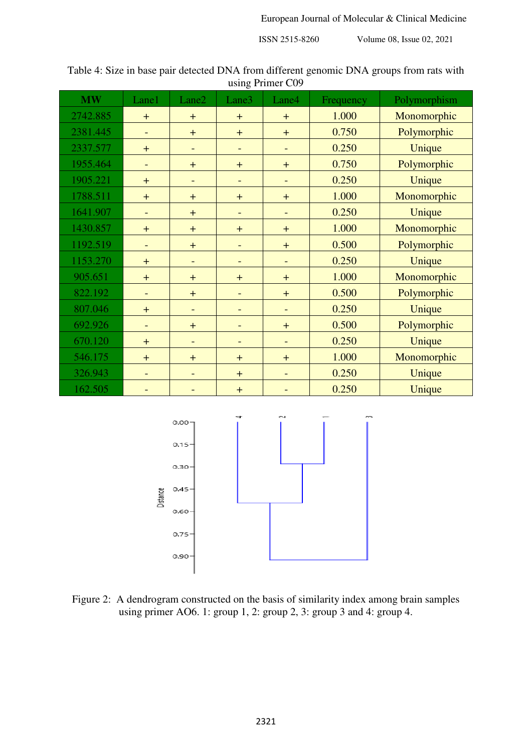| Table 4: Size in base pair detected DNA from different genomic DNA groups from rats with |
|------------------------------------------------------------------------------------------|
| using Primer C09                                                                         |

| <b>MW</b> | Lane1 | Lane2                    | Lane3                    | Lane4                    | Frequency | Polymorphism |
|-----------|-------|--------------------------|--------------------------|--------------------------|-----------|--------------|
| 2742.885  | $+$   | $+$                      | $+$                      | $+$                      | 1.000     | Monomorphic  |
| 2381.445  |       | $+$                      | $+$                      | $+$                      | 0.750     | Polymorphic  |
| 2337.577  | $+$   | $\overline{\phantom{a}}$ | $\overline{\phantom{a}}$ | $\overline{\phantom{0}}$ | 0.250     | Unique       |
| 1955.464  |       | $+$                      | $+$                      | $+$                      | 0.750     | Polymorphic  |
| 1905.221  | $+$   | $\overline{\phantom{a}}$ | $\overline{\phantom{a}}$ | $\overline{\phantom{a}}$ | 0.250     | Unique       |
| 1788.511  | $+$   | $+$                      | $+$                      | $+$                      | 1.000     | Monomorphic  |
| 1641.907  |       | $+$                      | $\overline{\phantom{a}}$ | $\qquad \qquad -$        | 0.250     | Unique       |
| 1430.857  | $+$   | $+$                      | $+$                      | $+$                      | 1.000     | Monomorphic  |
| 1192.519  |       | $+$                      | $\overline{\phantom{a}}$ | $+$                      | 0.500     | Polymorphic  |
| 1153.270  | $+$   |                          |                          |                          | 0.250     | Unique       |
| 905.651   | $+$   | $+$                      | $+$                      | $+$                      | 1.000     | Monomorphic  |
| 822.192   |       | $+$                      | $\overline{\phantom{a}}$ | $+$                      | 0.500     | Polymorphic  |
| 807.046   | $+$   | $\overline{\phantom{0}}$ | $\overline{\phantom{a}}$ |                          | 0.250     | Unique       |
| 692.926   |       | $+$                      | $\overline{\phantom{a}}$ | $+$                      | 0.500     | Polymorphic  |
| 670.120   | $+$   | $\overline{\phantom{a}}$ | $\overline{\phantom{a}}$ | $\overline{\phantom{0}}$ | 0.250     | Unique       |
| 546.175   | $+$   | $+$                      | $+$                      | $+$                      | 1.000     | Monomorphic  |
| 326.943   |       | $\overline{\phantom{0}}$ | $+$                      | $\overline{\phantom{0}}$ | 0.250     | Unique       |
| 162.505   |       |                          | $+$                      |                          | 0.250     | Unique       |



Figure 2: A dendrogram constructed on the basis of similarity index among brain samples using primer AO6. 1: group 1, 2: group 2, 3: group 3 and 4: group 4.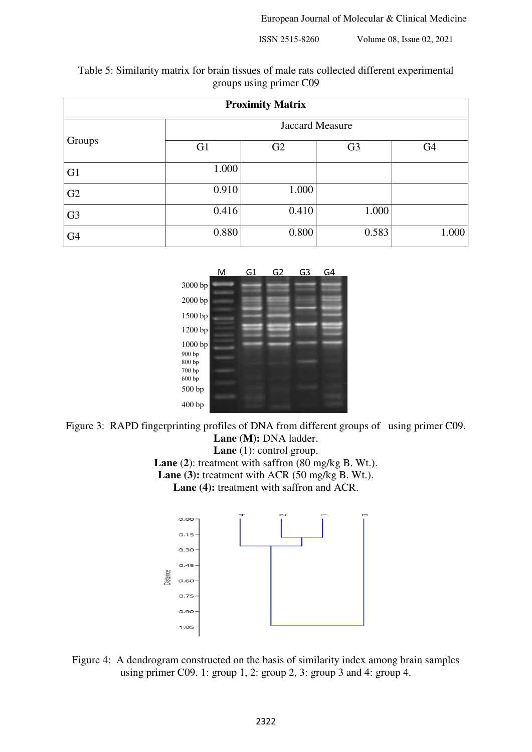Table 5: Similarity matrix for brain tissues of male rats collected different experimental groups using primer C09

|                |                        | <b>Proximity Matrix</b> |                |                |  |  |  |  |
|----------------|------------------------|-------------------------|----------------|----------------|--|--|--|--|
|                | <b>Jaccard Measure</b> |                         |                |                |  |  |  |  |
| Groups         | G <sub>1</sub>         | G2                      | G <sub>3</sub> | G <sub>4</sub> |  |  |  |  |
| G <sub>1</sub> | 1.000                  |                         |                |                |  |  |  |  |
| G2             | 0.910                  | 1.000                   |                |                |  |  |  |  |
| G <sub>3</sub> | 0.416                  | 0.410                   | 1.000          |                |  |  |  |  |
| G <sub>4</sub> | 0.880                  | 0.800                   | 0.583          | 1.000          |  |  |  |  |



Figure 3: RAPD fingerprinting profiles of DNA from different groups of using primer C09. Lane (M): DNA ladder. Lane (1): control group.

**Lane** (**2**): treatment with saffron (80 mg/kg B. Wt.). Lane (3): treatment with ACR (50 mg/kg B. Wt.). Lane (4): treatment with saffron and ACR.



Figure 4: A dendrogram constructed on the basis of similarity index among brain samples using primer C09. 1: group 1, 2: group 2, 3: group 3 and 4: group 4.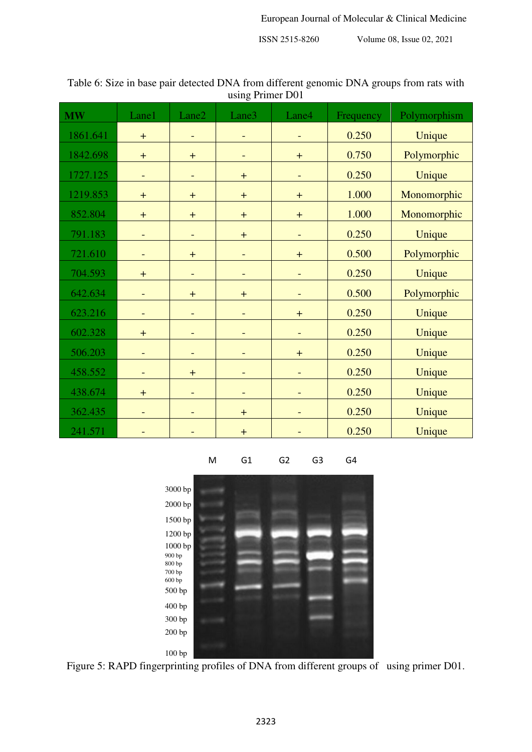| <b>MW</b> | Lane1                            | Lane2                    | ັ<br>Lane3               | Lane4                    | Frequency | Polymorphism |
|-----------|----------------------------------|--------------------------|--------------------------|--------------------------|-----------|--------------|
| 1861.641  | $+$                              |                          |                          |                          | 0.250     | Unique       |
| 1842.698  | $+$                              | $\pm$                    | $\qquad \qquad -$        | $+$                      | 0.750     | Polymorphic  |
| 1727.125  | $\overline{\phantom{a}}$         | ÷                        | $\ddot{}$                | $\qquad \qquad -$        | 0.250     | Unique       |
| 1219.853  | $+$                              | $\pm$                    | $\ddot{}$                | $\ddot{}$                | 1.000     | Monomorphic  |
| 852.804   | $+$                              | $\pm$                    | $+$                      | $+$                      | 1.000     | Monomorphic  |
| 791.183   |                                  |                          | $\ddot{}$                |                          | 0.250     | Unique       |
| 721.610   | $\overline{\phantom{a}}$         | $\pm$                    | $\overline{\phantom{0}}$ | $+$                      | 0.500     | Polymorphic  |
| 704.593   | $\ddot{}$                        | $\overline{\phantom{0}}$ | $\overline{\phantom{0}}$ | $\overline{\phantom{0}}$ | 0.250     | Unique       |
| 642.634   |                                  | $\ddot{}$                | $\ddot{}$                |                          | 0.500     | Polymorphic  |
| 623.216   | $\overline{\phantom{a}}$         | $\overline{\phantom{0}}$ | $\qquad \qquad -$        | $\boldsymbol{+}$         | 0.250     | Unique       |
| 602.328   | $\begin{array}{c} + \end{array}$ |                          |                          |                          | 0.250     | Unique       |
| 506.203   | $\overline{\phantom{a}}$         | -                        |                          | $+$                      | 0.250     | Unique       |
| 458.552   | $\overline{\phantom{a}}$         | $\pm$                    | -                        | $\overline{\phantom{0}}$ | 0.250     | Unique       |
| 438.674   | $+$                              |                          |                          |                          | 0.250     | Unique       |
| 362.435   |                                  |                          | $+$                      |                          | 0.250     | Unique       |
| 241.571   |                                  |                          | $\ddagger$               |                          | 0.250     | Unique       |

Table 6: Size in base pair detected DNA from different genomic DNA groups from rats with using Primer D01

M G1 G2 G3 G4



Figure 5: RAPD fingerprinting profiles of DNA from different groups of using primer D01.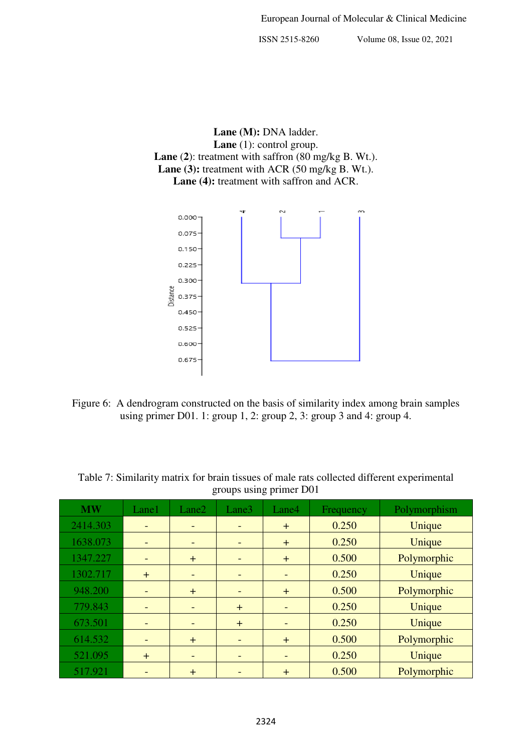Lane (M): DNA ladder. Lane (1): control group. **Lane** (**2**): treatment with saffron (80 mg/kg B. Wt.). Lane (3): treatment with ACR (50 mg/kg B. Wt.). Lane (4): treatment with saffron and ACR.



Figure 6: A dendrogram constructed on the basis of similarity index among brain samples using primer D01. 1: group 1, 2: group 2, 3: group 3 and 4: group 4.

| <b>MW</b> | Lane1                        | Lane2                    | Lane3                    | Lane4                    | Frequency | Polymorphism |
|-----------|------------------------------|--------------------------|--------------------------|--------------------------|-----------|--------------|
| 2414.303  |                              | $\overline{\phantom{0}}$ |                          | $+$                      | 0.250     | Unique       |
| 1638.073  |                              | $\overline{\phantom{a}}$ | $\overline{\phantom{0}}$ | $+$                      | 0.250     | Unique       |
| 1347.227  |                              | $+$                      | $\qquad \qquad$          | $+$                      | 0.500     | Polymorphic  |
| 1302.717  | $+$                          | $\overline{\phantom{a}}$ | $\overline{\phantom{0}}$ | $\overline{\phantom{0}}$ | 0.250     | Unique       |
| 948.200   | $\overline{\phantom{0}}$     | $+$                      | $\overline{\phantom{0}}$ | $+$                      | 0.500     | Polymorphic  |
| 779.843   |                              | $\qquad \qquad =$        | $+$                      |                          | 0.250     | Unique       |
| 673.501   |                              | $\overline{\phantom{0}}$ | $+$                      |                          | 0.250     | Unique       |
| 614.532   | $\qquad \qquad \blacksquare$ | $+$                      | $\overline{\phantom{a}}$ | $+$                      | 0.500     | Polymorphic  |
| 521.095   | $+$                          | $\overline{\phantom{0}}$ |                          |                          | 0.250     | Unique       |
| 517.921   |                              | $+$                      |                          | $\pm$                    | 0.500     | Polymorphic  |

Table 7: Similarity matrix for brain tissues of male rats collected different experimental groups using primer D01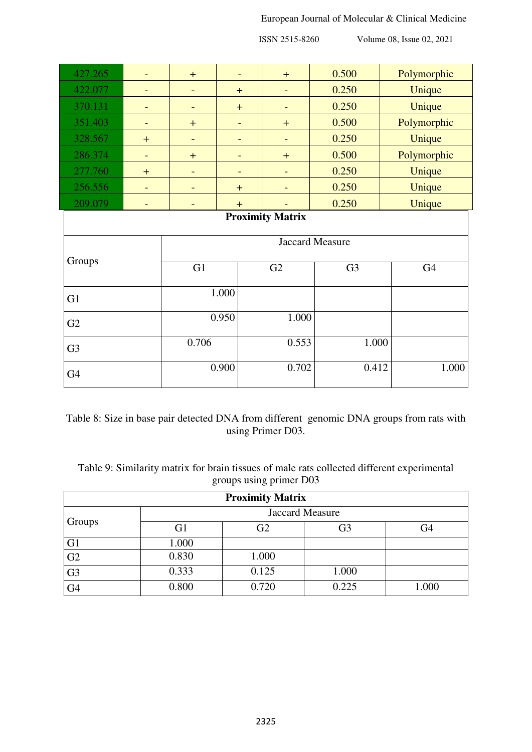## European Journal of Molecular & Clinical Medicine

ISSN 2515-8260 Volume 08, Issue 02, 2021

| 427.265        | $\overline{a}$               | $\pm$   | $\overline{\phantom{0}}$ | $+$                      | 0.500          | Polymorphic    |  |  |
|----------------|------------------------------|---------|--------------------------|--------------------------|----------------|----------------|--|--|
| 422.077        |                              |         | $+$                      | $\overline{\phantom{a}}$ | 0.250          | Unique         |  |  |
| 370.131        |                              |         | $\ddag$                  |                          | 0.250          | Unique         |  |  |
| 351.403        | $\overline{\phantom{0}}$     | $+$     | $\overline{\phantom{0}}$ | $+$                      | 0.500          | Polymorphic    |  |  |
| 328.567        | $+$                          | -       | -                        | $\overline{\phantom{a}}$ | 0.250          | Unique         |  |  |
| 286.374        |                              | $\ddag$ | $\overline{\phantom{0}}$ | $+$                      | 0.500          | Polymorphic    |  |  |
| 277.760        | $+$                          | -       | ÷                        | $\overline{\phantom{a}}$ | 0.250          | Unique         |  |  |
| 256.556        | $\overline{\phantom{a}}$     | -       | $+$                      | $\overline{\phantom{a}}$ | 0.250          | Unique         |  |  |
| 209.079        | $\qquad \qquad \blacksquare$ | -       | $+$                      |                          | 0.250          | Unique         |  |  |
|                | <b>Proximity Matrix</b>      |         |                          |                          |                |                |  |  |
|                | <b>Jaccard Measure</b>       |         |                          |                          |                |                |  |  |
| Groups         |                              | G1      |                          | G2                       | G <sub>3</sub> | G <sub>4</sub> |  |  |
| G <sub>1</sub> |                              |         | 1.000                    |                          |                |                |  |  |
| 0.950<br>G2    |                              |         |                          | 1.000                    |                |                |  |  |
| G <sub>3</sub> |                              | 0.706   |                          | 0.553                    | 1.000          |                |  |  |
| G <sub>4</sub> |                              | 0.900   |                          | 0.702                    | 0.412          | 1.000          |  |  |

Table 8: Size in base pair detected DNA from different genomic DNA groups from rats with using Primer D03.

Table 9: Similarity matrix for brain tissues of male rats collected different experimental groups using primer D03

| <b>Proximity Matrix</b> |                        |       |       |       |
|-------------------------|------------------------|-------|-------|-------|
| Groups                  | <b>Jaccard Measure</b> |       |       |       |
|                         | G1                     | G2    | G3    | G4    |
| G <sub>1</sub>          | 1.000                  |       |       |       |
| G2                      | 0.830                  | 1.000 |       |       |
| G <sub>3</sub>          | 0.333                  | 0.125 | 1.000 |       |
| G <sub>4</sub>          | 0.800                  | 0.720 | 0.225 | 1.000 |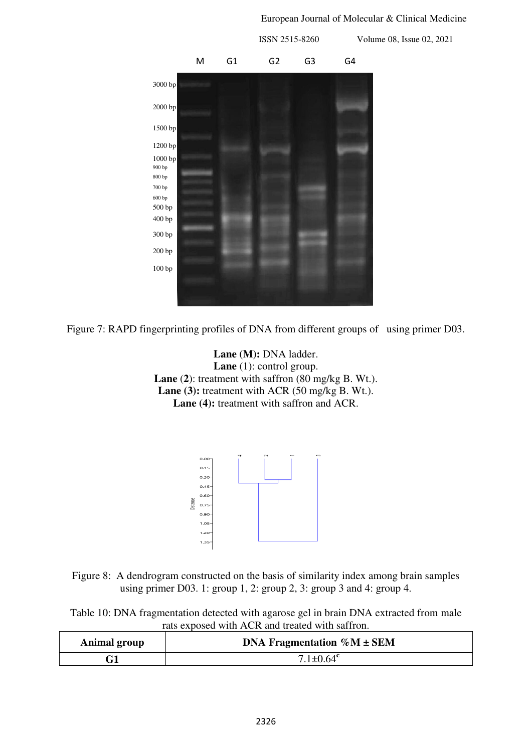## European Journal of Molecular & Clinical Medicine



Figure 7: RAPD fingerprinting profiles of DNA from different groups of using primer D03.

Lane (M): DNA ladder. Lane (1): control group. **Lane** (**2**): treatment with saffron (80 mg/kg B. Wt.). Lane (3): treatment with ACR (50 mg/kg B. Wt.). Lane (4): treatment with saffron and ACR.



Figure 8: A dendrogram constructed on the basis of similarity index among brain samples using primer D03. 1: group 1, 2: group 2, 3: group 3 and 4: group 4.

Table 10: DNA fragmentation detected with agarose gel in brain DNA extracted from male rats exposed with ACR and treated with saffron.

| <b>Animal group</b> | DNA Fragmentation $\%M \pm SEM$ |  |
|---------------------|---------------------------------|--|
|                     | $7.1 + 0.64$ <sup>c</sup>       |  |